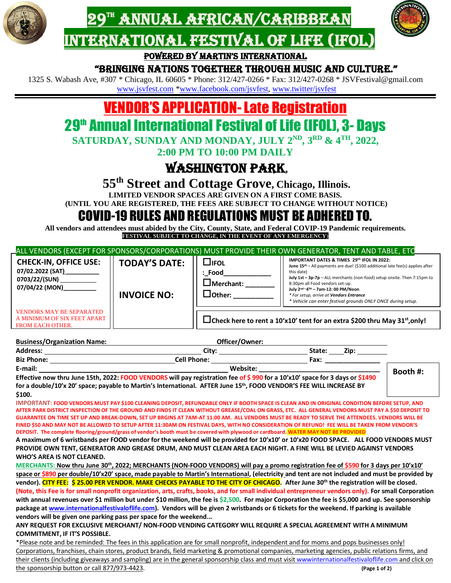





Powered by Martin's international

#### "bringing nations together through Music and culture."

1325 S. Wabash Ave, #307 \* Chicago, IL 60605 \* Phone: 312/427-0266 \* Fax: 312/427-0268 \* JSVFestival@gmail.com [www.jsvfest.com](http://www.jsvfest.com/) [\\*www.facebook.com/jsvfest,](http://www.facebook.com/jsvfest) [www.twitter/jsvfest](http://www.twitter/jsvfest)

# VENDOR'S APPLICATION-Late Registration

# 29<sup>th</sup> Annual International Festival of Life (IFOL), 3- Days

**SATURDAY, SUNDAY AND MONDAY, JULY 2 ND, 3RD & 4TH , 2022,**

**2:00 PM TO 10:00 PM DAILY**

## Washington Park**,**

**55th Street and Cottage Grove, Chicago, Illinois.**

**LIMITED VENDOR SPACES ARE GIVEN ON A FIRST COME BASIS.** 

**(UNTIL YOU ARE REGISTERED, THE FEES ARE SUBJECT TO CHANGE WITHOUT NOTICE)**

### COVID-19 RULES AND REGULATIONS MUST BE ADHERED TO.

**All vendors and attendees must abided by the City, County, State, and Federal COVIP-19 Pandemic requirements. FESTIVAL SUBJECT TO CHANGE, IN THE EVENT OF ANY EMERGENCY**)

| ALL VENDORS (EXCEPT FOR SPONSORS/CORPORATIONS) MUST PROVIDE THEIR OWN GENERATOR, TENT AND TABLE, ETC                                                                                                                                                                              |                                                                 |                                                     |                                                                                                                                                                                                                                                                      |          |  |  |  |
|-----------------------------------------------------------------------------------------------------------------------------------------------------------------------------------------------------------------------------------------------------------------------------------|-----------------------------------------------------------------|-----------------------------------------------------|----------------------------------------------------------------------------------------------------------------------------------------------------------------------------------------------------------------------------------------------------------------------|----------|--|--|--|
| <b>CHECK-IN, OFFICE USE:</b><br>07/02.2022 (SAT)___________<br>0703/22/(SUN) ___________                                                                                                                                                                                          | <b>TODAY'S DATE:</b>                                            | $\Box$ ifol<br>: Food<br>$\Box$ Merchant: _________ | IMPORTANT DATES & TIMES 29th IFOL IN 2022:<br>June 15 <sup>th</sup> - All payments are due! (\$100 additional late fee(s) applies after<br>this date)<br>July 1st - 3p-7p - ALL merchants (non-food) setup onsite. Then 7:15pm to<br>8:30pm all Food vendors set-up. |          |  |  |  |
| 07/04/22 (MON)__________                                                                                                                                                                                                                                                          | <b>INVOICE NO:</b>                                              | $\Box$ Other: __________                            | July 2 <sup>nd-4™</sup> - 7am-12: 00 PM/Noon<br>* For setup, arrive at Vendors Entrance<br>* Vehicle can enter festival grounds ONLY ONCE during setup.                                                                                                              |          |  |  |  |
| <b>VENDORS MAY BE SEPARATED</b><br>A MINIMUM OF SIX FEET APART<br>FROM EACH OTHER.                                                                                                                                                                                                |                                                                 |                                                     | □Check here to rent a 10'x10' tent for an extra \$200 thru May 31 <sup>st</sup> , only!                                                                                                                                                                              |          |  |  |  |
| <b>Business/Organization Name:</b>                                                                                                                                                                                                                                                | <u> 1989 - Johann Barn, fransk politik amerikansk politik (</u> | Officer/Owner:                                      |                                                                                                                                                                                                                                                                      |          |  |  |  |
|                                                                                                                                                                                                                                                                                   |                                                                 |                                                     |                                                                                                                                                                                                                                                                      |          |  |  |  |
|                                                                                                                                                                                                                                                                                   |                                                                 |                                                     |                                                                                                                                                                                                                                                                      |          |  |  |  |
|                                                                                                                                                                                                                                                                                   |                                                                 |                                                     |                                                                                                                                                                                                                                                                      | Booth #: |  |  |  |
| E-mail:<br>E-mail: Cell Phone: Cell Phone: Cell Phone: Cell Phone: Cell Phone: Cell Phone: Cell Phone: Cell Phone: Cell Phone: Cell Phone: Cell Phone: Cell Phone: Cell Phone: Cell Phone: Cell Phone: Cell Phone: Cell Phone: C                                                  |                                                                 |                                                     |                                                                                                                                                                                                                                                                      |          |  |  |  |
| for a double/10'x 20' space; payable to Martin's International. AFTER June 15th, FOOD VENDOR'S FEE WILL INCREASE BY                                                                                                                                                               |                                                                 |                                                     |                                                                                                                                                                                                                                                                      |          |  |  |  |
| \$100.                                                                                                                                                                                                                                                                            |                                                                 |                                                     |                                                                                                                                                                                                                                                                      |          |  |  |  |
| IMPORTANT: FOOD VENDORS MUST PAY \$100 CLEANING DEPOSIT, REFUNDABLE ONLY IF BOOTH SPACE IS CLEAN AND IN ORIGINAL CONDITION BEFORE SETUP, AND                                                                                                                                      |                                                                 |                                                     |                                                                                                                                                                                                                                                                      |          |  |  |  |
| AFTER PARK DISTRICT INSPECTION OF THE GROUND AND FINDS IT CLEAN WITHOUT GREASE/COAL ON GRASS, ETC. ALL GENERAL VENDORS MUST PAY A \$50 DEPOSIT TO                                                                                                                                 |                                                                 |                                                     |                                                                                                                                                                                                                                                                      |          |  |  |  |
| GUARANTEE ON TIME SET UP AND BREAK-DOWN, SET UP BRGINS AT 7AM-AT 11:00 AM. ALL VENDORS MUST BE READY TO SERVE THE ATTENDEES. VENDORS WILL BE                                                                                                                                      |                                                                 |                                                     |                                                                                                                                                                                                                                                                      |          |  |  |  |
| FINED \$50 AND MAY NOT BE ALLOWED TO SETUP AFTER 11:30AM ON FESTIVAL DAYS, WITH NO CONSIDERATION OF REFUND! FEE WILL BE TAKEN FROM VENDOR'S<br>DEPOSIT. The complete flooring/ground/grass of vendor's booth must be covered with plywood or cardboard. WATER MAY NOT BE PROVIDED |                                                                 |                                                     |                                                                                                                                                                                                                                                                      |          |  |  |  |
| A maximum of 6 wristbands per FOOD vendor for the weekend will be provided for 10'x10' or 10'x20 FOOD SPACE. ALL FOOD VENDORS MUST                                                                                                                                                |                                                                 |                                                     |                                                                                                                                                                                                                                                                      |          |  |  |  |
| PROVIDE OWN TENT, GENERATOR AND GREASE DRUM, AND MUST CLEAN AREA EACH NIGHT. A FINE WILL BE LEVIED AGAINST VENDORS                                                                                                                                                                |                                                                 |                                                     |                                                                                                                                                                                                                                                                      |          |  |  |  |
| <b>WHO'S AREA IS NOT CLEANED.</b>                                                                                                                                                                                                                                                 |                                                                 |                                                     |                                                                                                                                                                                                                                                                      |          |  |  |  |
| MERCHANTS: Now thru June 30 <sup>th</sup> , 2022; MERCHANTS (NON-FOOD VENDORS) will pay a promo registration fee of \$590 for 3 days per 10'x10'                                                                                                                                  |                                                                 |                                                     |                                                                                                                                                                                                                                                                      |          |  |  |  |
| space or \$890 per double/10'x20' space, made payable to Martin's International, (electricity and tent are not included and must be provided by                                                                                                                                   |                                                                 |                                                     |                                                                                                                                                                                                                                                                      |          |  |  |  |
| vendor). CITY FEE: \$25.00 PER VENDOR. MAKE CHECKS PAYABLE TO THE CITY OF CHICAGO. After June 30 <sup>th</sup> the registration will be closed.                                                                                                                                   |                                                                 |                                                     |                                                                                                                                                                                                                                                                      |          |  |  |  |
| (Note, this Fee is for small nonprofit organization, arts, crafts, books, and for small individual entrepreneur vendors only). For small Corporation                                                                                                                              |                                                                 |                                                     |                                                                                                                                                                                                                                                                      |          |  |  |  |
| with annual revenues over \$1 million but under \$10 million, the fee is \$2,500. For major Corporation the fee is \$5,000 and up. See sponsorship                                                                                                                                |                                                                 |                                                     |                                                                                                                                                                                                                                                                      |          |  |  |  |
| package at www.internationalfestivaloflife.com). Vendors will be given 2 wristbands or 6 tickets for the weekend. If parking is available                                                                                                                                         |                                                                 |                                                     |                                                                                                                                                                                                                                                                      |          |  |  |  |
| vendors will be given one parking pass per space for the weekend                                                                                                                                                                                                                  |                                                                 |                                                     |                                                                                                                                                                                                                                                                      |          |  |  |  |
| ANY REQUEST FOR EXCLUSIVE MERCHANT/ NON-FOOD VENDING CATEGORY WILL REQUIRE A SPECIAL AGREEMENT WITH A MINIMUM                                                                                                                                                                     |                                                                 |                                                     |                                                                                                                                                                                                                                                                      |          |  |  |  |
| <b>COMMITMENT, IF IT'S POSSIBLE.</b>                                                                                                                                                                                                                                              |                                                                 |                                                     |                                                                                                                                                                                                                                                                      |          |  |  |  |
| *Please note and be reminded: The fees in this application are for small nonprofit, independent and for moms and pops businesses only!                                                                                                                                            |                                                                 |                                                     |                                                                                                                                                                                                                                                                      |          |  |  |  |
| Corporations, franchises, chain stores, product brands, field marketing & promotional companies, marketing agencies, public relations firms, and                                                                                                                                  |                                                                 |                                                     |                                                                                                                                                                                                                                                                      |          |  |  |  |
| their clients (including giveaways and sampling) are in the general sponsorship class and must visit wwwinternationalfestivaloflife.com and click on                                                                                                                              |                                                                 |                                                     |                                                                                                                                                                                                                                                                      |          |  |  |  |

the sponsorship button or call 877/973-4423. **(Page 1 of 2)**